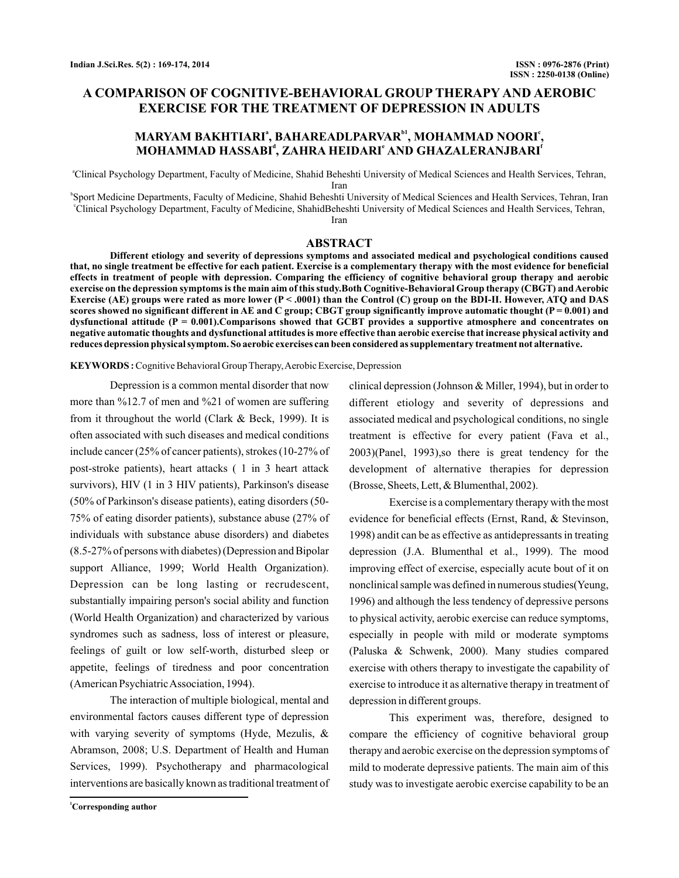# **A COMPARISON OF COGNITIVE-BEHAVIORAL GROUP THERAPY AND AEROBIC EXERCISE FOR THE TREATMENT OF DEPRESSION IN ADULTS**

# MARYAM BAKHTIARIª, BAHAREADLPARVARʰ1, MOHAMMAD NOORIʿ, **MOHAMMAD HASSABI , ZAHRA HEIDARI AND GHAZALERANJBARI d e f**

a Clinical Psychology Department, Faculty of Medicine, Shahid Beheshti University of Medical Sciences and Health Services, Tehran, Iran

b Sport Medicine Departments, Faculty of Medicine, Shahid Beheshti University of Medical Sciences and Health Services, Tehran, Iran c Clinical Psychology Department, Faculty of Medicine, ShahidBeheshti University of Medical Sciences and Health Services, Tehran, Iran

#### **ABSTRACT**

**Different etiology and severity of depressions symptoms and associated medical and psychological conditions caused that, no single treatment be effective for each patient. Exercise is a complementary therapy with the most evidence for beneficial effects in treatment of people with depression. Comparing the efficiency of cognitive behavioral group therapy and aerobic** exercise on the depression symptoms is the main aim of this study.Both Cognitive-Behavioral Group therapy (CBGT) and Aerobic **Exercise (AE) groups were rated as more lower (P < .0001) than the Control (C) group on the BDI-II. However, ATQ and DAS scores showed no significant different in AE and C group; CBGT group significantly improve automatic thought (P = 0.001) and dysfunctional attitude (P = 0.001).Comparisons showed that GCBT provides a supportive atmosphere and concentrates on negative automatic thoughts and dysfunctional attitudes is more effective than aerobic exercise that increase physical activity and reduces depression physical symptom. So aerobic exercises can been considered as supplementary treatment not alternative.**

#### **KEYWORDS :**Cognitive Behavioral Group Therapy,Aerobic Exercise, Depression

Depression is a common mental disorder that now more than %12.7 of men and %21 of women are suffering from it throughout the world (Clark & Beck, 1999). It is often associated with such diseases and medical conditions include cancer (25% of cancer patients), strokes (10-27% of post-stroke patients), heart attacks ( 1 in 3 heart attack survivors), HIV (1 in 3 HIV patients), Parkinson's disease (50% of Parkinson's disease patients), eating disorders (50- 75% of eating disorder patients), substance abuse (27% of individuals with substance abuse disorders) and diabetes (8.5-27% of persons with diabetes) (Depression and Bipolar support Alliance, 1999; World Health Organization). Depression can be long lasting or recrudescent, substantially impairing person's social ability and function (World Health Organization) and characterized by various syndromes such as sadness, loss of interest or pleasure, feelings of guilt or low self-worth, disturbed sleep or appetite, feelings of tiredness and poor concentration (American PsychiatricAssociation, 1994).

The interaction of multiple biological, mental and environmental factors causes different type of depression with varying severity of symptoms (Hyde, Mezulis, & Abramson, 2008; U.S. Department of Health and Human Services, 1999). Psychotherapy and pharmacological interventions are basically known as traditional treatment of clinical depression (Johnson & Miller, 1994), but in order to different etiology and severity of depressions and associated medical and psychological conditions, no single treatment is effective for every patient (Fava et al., 2003)(Panel, 1993),so there is great tendency for the development of alternative therapies for depression (Brosse, Sheets, Lett, & Blumenthal, 2002).

Exercise is a complementary therapy with the most evidence for beneficial effects (Ernst, Rand, & Stevinson, 1998) andit can be as effective as antidepressants in treating depression (J.A. Blumenthal et al., 1999). The mood improving effect of exercise, especially acute bout of it on nonclinical sample was defined in numerous studies(Yeung, 1996) and although the less tendency of depressive persons to physical activity, aerobic exercise can reduce symptoms, especially in people with mild or moderate symptoms (Paluska & Schwenk, 2000). Many studies compared exercise with others therapy to investigate the capability of exercise to introduce it as alternative therapy in treatment of depression in different groups.

This experiment was, therefore, designed to compare the efficiency of cognitive behavioral group therapy and aerobic exercise on the depression symptoms of mild to moderate depressive patients. The main aim of this study was to investigate aerobic exercise capability to be an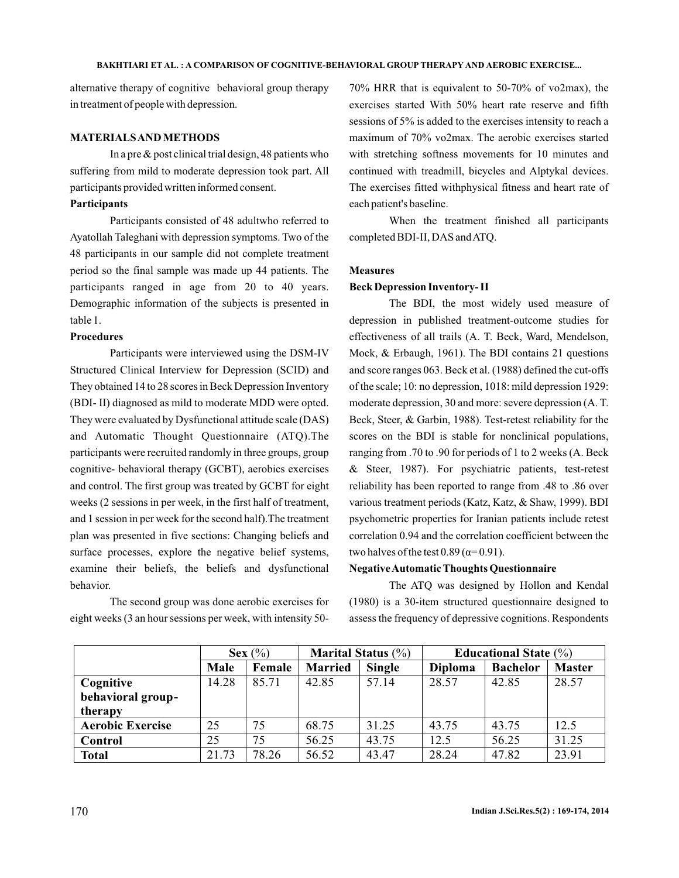alternative therapy of cognitive behavioral group therapy in treatment of people with depression.

#### **MATERIALSAND METHODS**

In a pre  $\&$  post clinical trial design, 48 patients who suffering from mild to moderate depression took part. All participants provided written informed consent.

### **Participants**

Participants consisted of 48 adultwho referred to Ayatollah Taleghani with depression symptoms. Two of the 48 participants in our sample did not complete treatment period so the final sample was made up 44 patients. The participants ranged in age from 20 to 40 years. Demographic information of the subjects is presented in table 1.

# **Procedures**

Participants were interviewed using the DSM-IV Structured Clinical Interview for Depression (SCID) and They obtained 14 to 28 scores in Beck Depression Inventory (BDI- II) diagnosed as mild to moderate MDD were opted. They were evaluated by Dysfunctional attitude scale (DAS) and Automatic Thought Questionnaire (ATQ).The participants were recruited randomly in three groups, group cognitive- behavioral therapy (GCBT), aerobics exercises and control. The first group was treated by GCBT for eight weeks (2 sessions in per week, in the first half of treatment, and 1 session in per week for the second half).The treatment plan was presented in five sections: Changing beliefs and surface processes, explore the negative belief systems, examine their beliefs, the beliefs and dysfunctional behavior.

The second group was done aerobic exercises for eight weeks (3 an hour sessions per week, with intensity 5070% HRR that is equivalent to 50-70% of vo2max), the exercises started With 50% heart rate reserve and fifth sessions of 5% is added to the exercises intensity to reach a maximum of 70% vo2max. The aerobic exercises started with stretching softness movements for 10 minutes and continued with treadmill, bicycles and Alptykal devices. The exercises fitted withphysical fitness and heart rate of each patient's baseline.

When the treatment finished all participants completed BDI-II, DAS andATQ.

# **Measures**

# **Beck Depression Inventory- II**

The BDI, the most widely used measure of depression in published treatment-outcome studies for effectiveness of all trails (A. T. Beck, Ward, Mendelson, Mock, & Erbaugh, 1961). The BDI contains 21 questions and score ranges 063. Beck et al. (1988) defined the cut-offs of the scale; 10: no depression, 1018: mild depression 1929: moderate depression, 30 and more: severe depression (A. T. Beck, Steer, & Garbin, 1988). Test-retest reliability for the scores on the BDI is stable for nonclinical populations, ranging from .70 to .90 for periods of 1 to 2 weeks (A. Beck & Steer, 1987). For psychiatric patients, test-retest reliability has been reported to range from .48 to .86 over various treatment periods (Katz, Katz, & Shaw, 1999). BDI psychometric properties for Iranian p atients include retest correlation 0.94 and the correlation coefficient between the two halves of the test  $0.89$  ( $\alpha$ = $0.91$ ).

### **NegativeAutomatic Thoughts Questionnaire**

The ATQ was designed by Hollon and Kendal (1980) is a 30-item structured questionnaire designed to assess the frequency of depressive cognitions. Respondents

|                         | Sex $(\% )$ |        | <b>Marital Status</b> $(\%)$ |               | <b>Educational State</b> $(\%)$ |                 |               |
|-------------------------|-------------|--------|------------------------------|---------------|---------------------------------|-----------------|---------------|
|                         | Male        | Female | <b>Married</b>               | <b>Single</b> | <b>Diploma</b>                  | <b>Bachelor</b> | <b>Master</b> |
| Cognitive               | 14.28       | 85.71  | 42.85                        | 57.14         | 28.57                           | 42.85           | 28.57         |
| behavioral group-       |             |        |                              |               |                                 |                 |               |
| therapy                 |             |        |                              |               |                                 |                 |               |
| <b>Aerobic Exercise</b> | 25          | 75     | 68.75                        | 31.25         | 43.75                           | 43.75           | 12.5          |
| Control                 | 25          | 75     | 56.25                        | 43.75         | 12.5                            | 56.25           | 31.25         |
| <b>Total</b>            | 21.73       | 78.26  | 56.52                        | 43.47         | 28.24                           | 47.82           | 23.91         |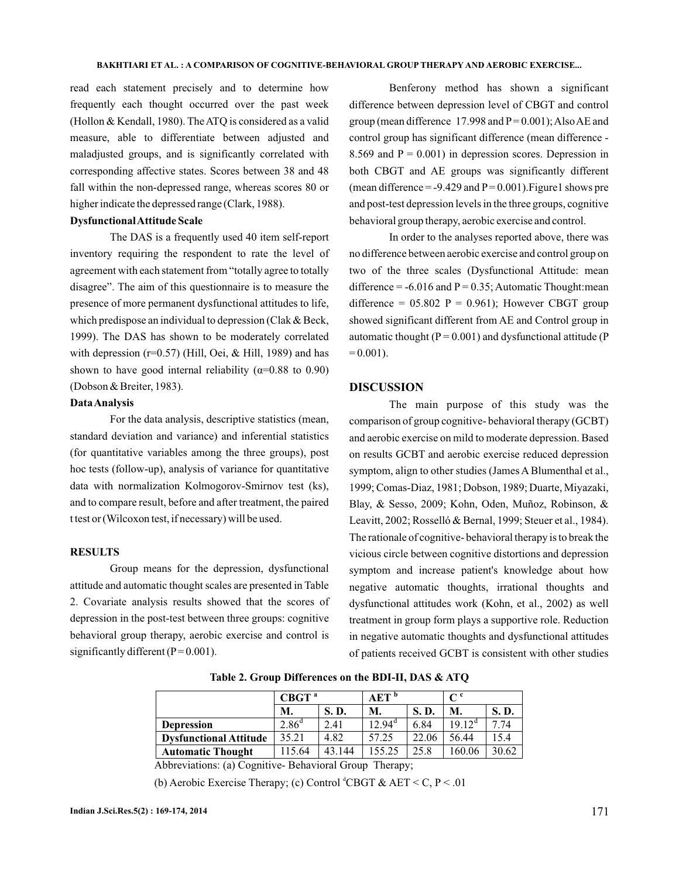read each statement precisely and to determine how frequently each thought occurred over the past week (Hollon & Kendall, 1980). The ATQ is considered as a valid measure, able to differentiate between adjusted and maladjusted groups, and is significantly correlated with corresponding affective states. Scores between 38 and 48 fall within the non-depressed range, whereas scores 80 or higher indicate the depressed range (Clark, 1988).

## **DysfunctionalAttitude Scale**

The DAS is a frequently used 40 item self-report inventory requiring the respondent to rate the level of agreement with each statement from "totally agree to totally disagree". The aim of this questionnaire is to measure the presence of more permanent dysfunctional attitudes to life, which predispose an individual to depression (Clak & Beck, 1999). The DAS has shown to be moderately correlated with depression ( $r=0.57$ ) (Hill, Oei, & Hill, 1989) and has shown to have good internal reliability  $(\alpha=0.88$  to 0.90) (Dobson & Breiter, 1983).

#### **DataAnalysis**

For the data analysis, descriptive statistics (mean, standard deviation and variance) and inferential statistics (for quantitative variables among the three groups), post hoc tests (follow-up), analysis of variance for quantitative data with normalization Kolmogorov-Smirnov test (ks), and to compare result, before and after treatment, the paired t test or (Wilcoxon test, if necessary) will be used.

### **RESULTS**

Group means for the depression, dysfunctional attitude and automatic thought scales are presented in Table 2. Covariate analysis results showed that the scores of depression in the post-test between three groups: cognitive behavioral group therapy, aerobic exercise and control is significantly different ( $P = 0.001$ ).

Benferony method has shown a significant difference between depression level of CBGT and control group (mean difference 17.998 and  $P = 0.001$ ); Also AE and control group has significant difference (mean difference - 8.569 and  $P = 0.001$ ) in depression scores. Depression in both CBGT and AE groups was significantly different (mean difference  $= -9.429$  and  $P = 0.001$ ). Figure1 shows pre and post-test depression levels in the three groups, cognitive behavioral group therapy, aerobic exercise and control.

In order to the analyses reported above, there was no difference between aerobic exercise and control group on two of the three scales (Dysfunctional Attitude: mean difference =  $-6.016$  and P = 0.35; Automatic Thought: mean difference =  $05.802$  P = 0.961); However CBGT group showed significant different from AE and Control group in automatic thought ( $P = 0.001$ ) and dysfunctional attitude ( $P$  $= 0.001$ ).

### **DISCUSSION**

The main purpose of this study was the comparison of group cognitive- behavioral therapy (GCBT) and aerobic exercise on mild to moderate depression. Based on results GCBT and aerobic exercise reduced depression symptom, align to other studies (James A Blumenthal et al., 1999; Comas-Diaz, 1981; Dobson, 1989; Duarte, Miyazaki, Blay, & Sesso, 2009; Kohn, Oden, Muñoz, Robinson, & Leavitt, 2002; Rosselló & Bernal, 1999; Steuer et al., 1984). The rationale of cognitive- behavioral therapy is to break the vicious circle between cognitive distortions and depression symptom and increase patient's knowledge about how negative automatic thoughts, irrational thoughts and dysfunctional attitudes work (Kohn, et al., 2002) as well treatment in group form plays a supportive role. Reduction in negative automatic thoughts and dysfunctional attitudes of patients received GCBT is consistent with other studies

|                               | CBGT <sup>a</sup> |        | AET <sup>b</sup> |       | $\mathsf{C}^{\mathfrak{c}}$ |             |
|-------------------------------|-------------------|--------|------------------|-------|-----------------------------|-------------|
|                               | M.                | S.D.   | M.               | S.D.  | M.                          | <b>S.D.</b> |
| <b>Depression</b>             | 2.86 <sup>d</sup> | 2.41   | $12.94^{\circ}$  | 6.84  | $19.12^{\rm d}$             | 7.74        |
| <b>Dysfunctional Attitude</b> | 35.21             | 4.82   | 57.25            | 22.06 | 56.44                       | 15.4        |
| <b>Automatic Thought</b>      | 15.64             | 43.144 | 155.25           | 25.8  | 160.06                      | 30.62       |

**Table 2. Group Differences on the BDI-II, DAS & ATQ**

Abbreviations: (a) Cognitive- Behavioral Group Therapy;

(b) Aerobic Exercise Therapy; (c) Control  ${}^d$ CBGT & AET < C, P < .01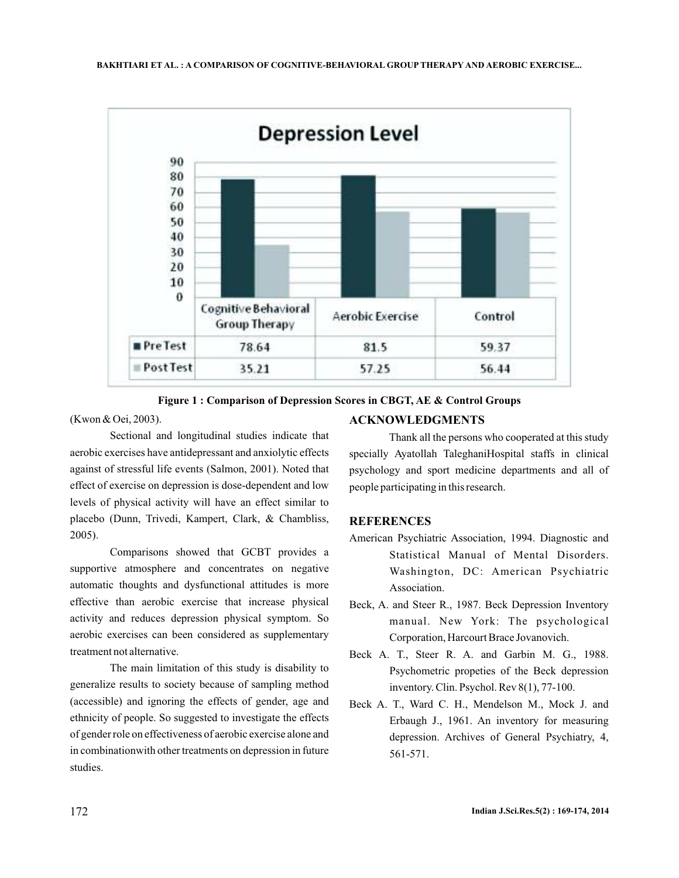

**Figure 1 : Comparison of Depression Scores in CBGT, AE & Control Groups**

(Kwon & Oei, 2003).

Sectional and longitudinal studies indicate that aerobic exercises have antidepressant and anxiolytic effects against of stressful life events (Salmon, 2001). Noted that effect of exercise on depression is dose-dependent and low levels of physical activity will have an effect similar to placebo (Dunn, Trivedi, Kampert, Clark, & Chambliss, 2005).

Comparisons showed that GCBT provides a supportive atmosphere and concentrates on negative automatic thoughts and dysfunctional attitudes is more effective than aerobic exercise that increase physical activity and reduces depression physical symptom. So aerobic exercises can been considered as supplementary treatment not alternative.

The main limitation of this study is disability to generalize results to society because of sampling method (accessible) and ignoring the effects of gender, age and ethnicity of people. So suggested to investigate the effects of gender role on effectiveness of aerobic exercise alone and in combinationwith other treatments on depression in future studies.

# **ACKNOWLEDGMENTS**

Thank all the persons who cooperated at this study specially Ayatollah TaleghaniHospital staffs in clinical psychology and sport medicine departments and all of people participating in this research.

# **REFERENCES**

- American Psychiatric Association, 1994. Diagnostic and Statistical Manual of Mental Disorders. Washington, DC: American Psychiatric Association.
- Beck, A. and Steer R., 1987. Beck Depression Inventory manual. New York: The psychological Corporation, Harcourt Brace Jovanovich.
- Beck A. T., Steer R. A. and Garbin M. G., 1988. Psychometric propeties of the Beck depression inventory. Clin. Psychol. Rev 8(1), 77-100.
- Beck A. T., Ward C. H., Mendelson M., Mock J. and Erbaugh J., 1961. An inventory for measuring depression. Archives of General Psychiatry, 4, 561-571.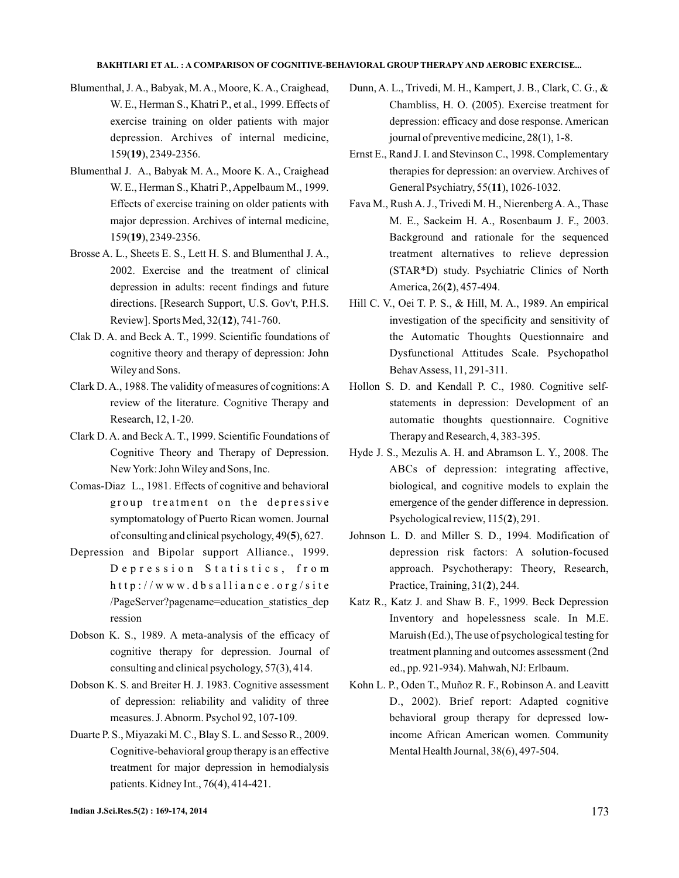- Blumenthal, J. A., Babyak, M. A., Moore, K. A., Craighead, W. E., Herman S., Khatri P., et al., 1999. Effects of exercise training on older patients with major depression. Archives of internal medicine, 159(19), 2349-2356.
- Blumenthal J. A., Babyak M. A., Moore K. A., Craighead W. E., Herman S., Khatri P., Appelbaum M., 1999. Effects of exercise training on older patients with major depression. Archives of internal medicine, 159(19), 2349-2356.
- Brosse A. L., Sheets E. S., Lett H. S. and Blumenthal J. A., 2002. Exercise and the treatment of clinical depression in adults: recent findings and future directions. [Research Support, U.S. Gov't, P.H.S. Review]. Sports Med, 32(12), 741-760.
- Clak D. A. and Beck A. T., 1999. Scientific foundations of cognitive theory and therapy of depression: John Wiley and Sons.
- Clark D.A., 1988. The validity of measures of cognitions:A review of the literature. Cognitive Therapy and Research, 12, 1-20.
- Clark D. A. and Beck A. T., 1999. Scientific Foundations of Cognitive Theory and Therapy of Depression. NewYork: JohnWiley and Sons, Inc.
- Comas-Diaz L., 1981. Effects of cognitive and behavioral group treatment on the depressive symptomatology of Puerto Rican women. Journal of consulting and clinical psychology, 49(5), 627.
- Depression and Bipolar support Alliance., 1999. Depression Statistics, from  $h$ ttp://www.dbsalliance.org/site /PageServer?pagename=education\_statistics\_dep ression
- Dobson K. S., 1989. A meta-analysis of the efficacy of cognitive therapy for depression. Journal of consulting and clinical psychology, 57(3), 414.
- Dobson K. S. and Breiter H. J. 1983. Cognitive assessment of depression: reliability and validity of three measures. J.Abnorm. Psychol 92, 107-109.
- Duarte P. S., Miyazaki M. C., Blay S. L. and Sesso R., 2009. Cognitive-behavioral group therapy is an effective treatment for major depression in hemodialysis patients. Kidney Int., 76(4), 414-421.
- Dunn, A. L., Trivedi, M. H., Kampert, J. B., Clark, C. G., & Chambliss, H. O. (2005). Exercise treatment for depression: efficacy and dose response. American journal of preventive medicine, 28(1), 1-8.
- Ernst E., Rand J. I. and Stevinson C., 1998. Complementary therapies for depression: an overview. Archives of General Psychiatry, 55(11), 1026-1032.
- Fava M., Rush A. J., Trivedi M. H., Nierenberg A. A., Thase M. E., Sackeim H. A., Rosenbaum J. F., 2003. Background and rationale for the sequenced treatment alternatives to relieve depression (STAR\*D) study. Psychiatric Clinics of North America, 26(2), 457-494.
- Hill C. V., Oei T. P. S., & Hill, M. A., 1989. An empirical investigation of the specificity and sensitivity of the Automatic Thoughts Questionnaire and Dysfunctional Attitudes Scale. Psychopathol BehavAssess, 11, 291-311.
- Hollon S. D. and Kendall P. C., 1980. Cognitive selfstatements in depression: Development of an automatic thoughts questionnaire. Cognitive Therapy and Research, 4, 383-395.
- Hyde J. S., Mezulis A. H. and Abramson L. Y., 2008. The ABCs of depression: integrating affective, biological, and cognitive models to explain the emergence of the gender difference in depression. Psychological review, 115(2), 291.
- Johnson L. D. and Miller S. D., 1994. Modification of depression risk factors: A solution-focused approach. Psychotherapy: Theory, Research, Practice, Training, 31(2), 244.
- Katz R., Katz J. and Shaw B. F., 1999. Beck Depression Inventory and hopelessness scale. In M.E. Maruish (Ed.), The use of psychological testing for treatment planning and outcomes assessment (2nd ed., pp. 921-934). Mahwah, NJ: Erlbaum.
- Kohn L. P., Oden T., Muñoz R. F., Robinson A. and Leavitt D., 2002). Brief report: Adapted cognitive behavioral group therapy for depressed lowincome African American women. Community Mental Health Journal, 38(6), 497-504.